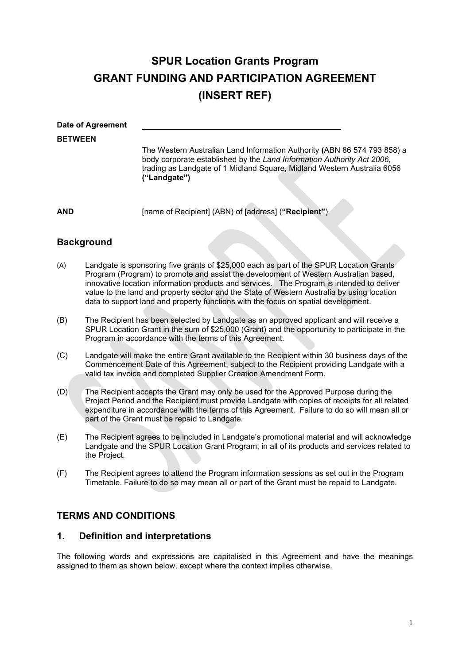# **SPUR Location Grants Program GRANT FUNDING AND PARTICIPATION AGREEMENT (INSERT REF)**

| Date of Agreement |                                                                                                                                                                                                                                               |
|-------------------|-----------------------------------------------------------------------------------------------------------------------------------------------------------------------------------------------------------------------------------------------|
| <b>BETWEEN</b>    |                                                                                                                                                                                                                                               |
|                   | The Western Australian Land Information Authority (ABN 86 574 793 858) a<br>body corporate established by the Land Information Authority Act 2006,<br>trading as Landgate of 1 Midland Square, Midland Western Australia 6056<br>("Landgate") |
|                   |                                                                                                                                                                                                                                               |
| AND               | [name of Recipient] (ABN) of [address] ("Recipient")                                                                                                                                                                                          |

# **Background**

- (A) Landgate is sponsoring five grants of \$25,000 each as part of the SPUR Location Grants Program (Program) to promote and assist the development of Western Australian based, innovative location information products and services. The Program is intended to deliver value to the land and property sector and the State of Western Australia by using location data to support land and property functions with the focus on spatial development.
- (B) The Recipient has been selected by Landgate as an approved applicant and will receive a SPUR Location Grant in the sum of \$25,000 (Grant) and the opportunity to participate in the Program in accordance with the terms of this Agreement.
- (C) Landgate will make the entire Grant available to the Recipient within 30 business days of the Commencement Date of this Agreement, subject to the Recipient providing Landgate with a valid tax invoice and completed Supplier Creation Amendment Form.
- (D) The Recipient accepts the Grant may only be used for the Approved Purpose during the Project Period and the Recipient must provide Landgate with copies of receipts for all related expenditure in accordance with the terms of this Agreement. Failure to do so will mean all or part of the Grant must be repaid to Landgate.
- (E) The Recipient agrees to be included in Landgate's promotional material and will acknowledge Landgate and the SPUR Location Grant Program, in all of its products and services related to the Project.
- (F) The Recipient agrees to attend the Program information sessions as set out in the Program Timetable. Failure to do so may mean all or part of the Grant must be repaid to Landgate.

# **TERMS AND CONDITIONS**

# **1. Definition and interpretations**

The following words and expressions are capitalised in this Agreement and have the meanings assigned to them as shown below, except where the context implies otherwise.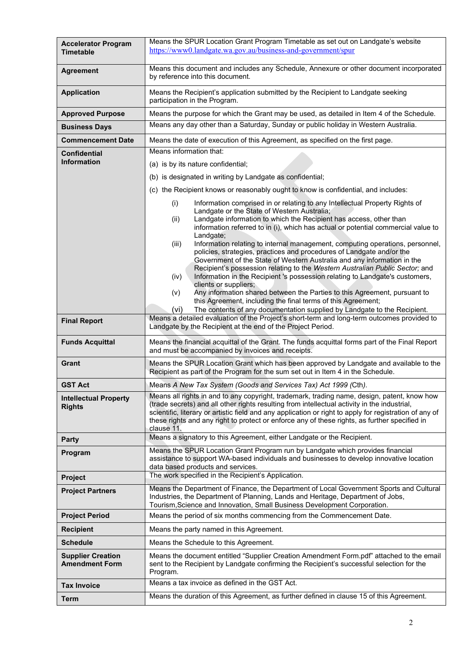| <b>Accelerator Program</b><br><b>Timetable</b>    | Means the SPUR Location Grant Program Timetable as set out on Landgate's website<br>https://www0.landgate.wa.gov.au/business-and-government/spur                                                                                                                                                                                                                                                                                                                                                                                                                                                                                                                                                                                        |  |  |
|---------------------------------------------------|-----------------------------------------------------------------------------------------------------------------------------------------------------------------------------------------------------------------------------------------------------------------------------------------------------------------------------------------------------------------------------------------------------------------------------------------------------------------------------------------------------------------------------------------------------------------------------------------------------------------------------------------------------------------------------------------------------------------------------------------|--|--|
| <b>Agreement</b>                                  | Means this document and includes any Schedule, Annexure or other document incorporated<br>by reference into this document.                                                                                                                                                                                                                                                                                                                                                                                                                                                                                                                                                                                                              |  |  |
| <b>Application</b>                                | Means the Recipient's application submitted by the Recipient to Landgate seeking<br>participation in the Program.                                                                                                                                                                                                                                                                                                                                                                                                                                                                                                                                                                                                                       |  |  |
| <b>Approved Purpose</b>                           | Means the purpose for which the Grant may be used, as detailed in Item 4 of the Schedule.                                                                                                                                                                                                                                                                                                                                                                                                                                                                                                                                                                                                                                               |  |  |
| <b>Business Days</b>                              | Means any day other than a Saturday, Sunday or public holiday in Western Australia.                                                                                                                                                                                                                                                                                                                                                                                                                                                                                                                                                                                                                                                     |  |  |
| <b>Commencement Date</b>                          | Means the date of execution of this Agreement, as specified on the first page.                                                                                                                                                                                                                                                                                                                                                                                                                                                                                                                                                                                                                                                          |  |  |
| <b>Confidential</b>                               | Means information that:                                                                                                                                                                                                                                                                                                                                                                                                                                                                                                                                                                                                                                                                                                                 |  |  |
| <b>Information</b>                                | (a) is by its nature confidential;                                                                                                                                                                                                                                                                                                                                                                                                                                                                                                                                                                                                                                                                                                      |  |  |
|                                                   | (b) is designated in writing by Landgate as confidential;                                                                                                                                                                                                                                                                                                                                                                                                                                                                                                                                                                                                                                                                               |  |  |
|                                                   | (c) the Recipient knows or reasonably ought to know is confidential, and includes:                                                                                                                                                                                                                                                                                                                                                                                                                                                                                                                                                                                                                                                      |  |  |
|                                                   | Information comprised in or relating to any Intellectual Property Rights of<br>(i)<br>Landgate or the State of Western Australia;<br>Landgate information to which the Recipient has access, other than<br>(ii)<br>information referred to in (i), which has actual or potential commercial value to<br>Landgate;<br>Information relating to internal management, computing operations, personnel,<br>(iii)<br>policies, strategies, practices and procedures of Landgate and/or the<br>Government of the State of Western Australia and any information in the<br>Recipient's possession relating to the Western Australian Public Sector; and<br>Information in the Recipient 's possession relating to Landgate's customers,<br>(iv) |  |  |
|                                                   | clients or suppliers;<br>Any information shared between the Parties to this Agreement, pursuant to<br>(v)<br>this Agreement, including the final terms of this Agreement;<br>The contents of any documentation supplied by Landgate to the Recipient.<br>(vi)                                                                                                                                                                                                                                                                                                                                                                                                                                                                           |  |  |
| <b>Final Report</b>                               | Means a detailed evaluation of the Project's short-term and long-term outcomes provided to<br>Landgate by the Recipient at the end of the Project Period.                                                                                                                                                                                                                                                                                                                                                                                                                                                                                                                                                                               |  |  |
| <b>Funds Acquittal</b>                            | Means the financial acquittal of the Grant. The funds acquittal forms part of the Final Report<br>and must be accompanied by invoices and receipts.                                                                                                                                                                                                                                                                                                                                                                                                                                                                                                                                                                                     |  |  |
| Grant                                             | Means the SPUR Location Grant which has been approved by Landgate and available to the<br>Recipient as part of the Program for the sum set out in Item 4 in the Schedule.                                                                                                                                                                                                                                                                                                                                                                                                                                                                                                                                                               |  |  |
| <b>GST Act</b>                                    | Means A New Tax System (Goods and Services Tax) Act 1999 (Cth).                                                                                                                                                                                                                                                                                                                                                                                                                                                                                                                                                                                                                                                                         |  |  |
| <b>Intellectual Property</b><br><b>Rights</b>     | Means all rights in and to any copyright, trademark, trading name, design, patent, know how<br>(trade secrets) and all other rights resulting from intellectual activity in the industrial,<br>scientific, literary or artistic field and any application or right to apply for registration of any of<br>these rights and any right to protect or enforce any of these rights, as further specified in<br>clause 11.                                                                                                                                                                                                                                                                                                                   |  |  |
| <b>Party</b>                                      | Means a signatory to this Agreement, either Landgate or the Recipient.                                                                                                                                                                                                                                                                                                                                                                                                                                                                                                                                                                                                                                                                  |  |  |
| Program                                           | Means the SPUR Location Grant Program run by Landgate which provides financial<br>assistance to support WA-based individuals and businesses to develop innovative location<br>data based products and services.                                                                                                                                                                                                                                                                                                                                                                                                                                                                                                                         |  |  |
| Project                                           | The work specified in the Recipient's Application.                                                                                                                                                                                                                                                                                                                                                                                                                                                                                                                                                                                                                                                                                      |  |  |
| <b>Project Partners</b>                           | Means the Department of Finance, the Department of Local Government Sports and Cultural<br>Industries, the Department of Planning, Lands and Heritage, Department of Jobs,<br>Tourism, Science and Innovation, Small Business Development Corporation.                                                                                                                                                                                                                                                                                                                                                                                                                                                                                  |  |  |
| <b>Project Period</b>                             | Means the period of six months commencing from the Commencement Date.                                                                                                                                                                                                                                                                                                                                                                                                                                                                                                                                                                                                                                                                   |  |  |
| <b>Recipient</b>                                  | Means the party named in this Agreement.                                                                                                                                                                                                                                                                                                                                                                                                                                                                                                                                                                                                                                                                                                |  |  |
| <b>Schedule</b>                                   | Means the Schedule to this Agreement.                                                                                                                                                                                                                                                                                                                                                                                                                                                                                                                                                                                                                                                                                                   |  |  |
| <b>Supplier Creation</b><br><b>Amendment Form</b> | Means the document entitled "Supplier Creation Amendment Form.pdf" attached to the email<br>sent to the Recipient by Landgate confirming the Recipient's successful selection for the<br>Program.                                                                                                                                                                                                                                                                                                                                                                                                                                                                                                                                       |  |  |
| <b>Tax Invoice</b>                                | Means a tax invoice as defined in the GST Act.                                                                                                                                                                                                                                                                                                                                                                                                                                                                                                                                                                                                                                                                                          |  |  |
| <b>Term</b>                                       | Means the duration of this Agreement, as further defined in clause 15 of this Agreement.                                                                                                                                                                                                                                                                                                                                                                                                                                                                                                                                                                                                                                                |  |  |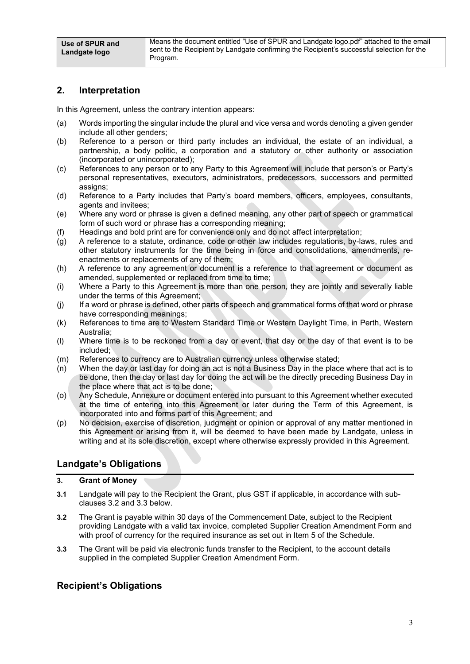# **2. Interpretation**

In this Agreement, unless the contrary intention appears:

- (a) Words importing the singular include the plural and vice versa and words denoting a given gender include all other genders;
- (b) Reference to a person or third party includes an individual, the estate of an individual, a partnership, a body politic, a corporation and a statutory or other authority or association (incorporated or unincorporated);
- (c) References to any person or to any Party to this Agreement will include that person's or Party's personal representatives, executors, administrators, predecessors, successors and permitted assigns;
- (d) Reference to a Party includes that Party's board members, officers, employees, consultants, agents and invitees;
- (e) Where any word or phrase is given a defined meaning, any other part of speech or grammatical form of such word or phrase has a corresponding meaning;
- (f) Headings and bold print are for convenience only and do not affect interpretation;
- (g) A reference to a statute, ordinance, code or other law includes regulations, by-laws, rules and other statutory instruments for the time being in force and consolidations, amendments, reenactments or replacements of any of them;
- (h) A reference to any agreement or document is a reference to that agreement or document as amended, supplemented or replaced from time to time;
- (i) Where a Party to this Agreement is more than one person, they are jointly and severally liable under the terms of this Agreement;
- (j) If a word or phrase is defined, other parts of speech and grammatical forms of that word or phrase have corresponding meanings;
- (k) References to time are to Western Standard Time or Western Daylight Time, in Perth, Western Australia;
- (l) Where time is to be reckoned from a day or event, that day or the day of that event is to be included;
- (m) References to currency are to Australian currency unless otherwise stated;
- (n) When the day or last day for doing an act is not a Business Day in the place where that act is to be done, then the day or last day for doing the act will be the directly preceding Business Day in the place where that act is to be done;
- (o) Any Schedule, Annexure or document entered into pursuant to this Agreement whether executed at the time of entering into this Agreement or later during the Term of this Agreement, is incorporated into and forms part of this Agreement; and
- (p) No decision, exercise of discretion, judgment or opinion or approval of any matter mentioned in this Agreement or arising from it, will be deemed to have been made by Landgate, unless in writing and at its sole discretion, except where otherwise expressly provided in this Agreement.

# **Landgate's Obligations**

# **3. Grant of Money**

- **3.1** Landgate will pay to the Recipient the Grant, plus GST if applicable, in accordance with subclauses 3.2 and 3.3 below.
- **3.2** The Grant is payable within 30 days of the Commencement Date, subject to the Recipient providing Landgate with a valid tax invoice, completed Supplier Creation Amendment Form and with proof of currency for the required insurance as set out in Item 5 of the Schedule.
- **3.3** The Grant will be paid via electronic funds transfer to the Recipient, to the account details supplied in the completed Supplier Creation Amendment Form.

# **Recipient's Obligations**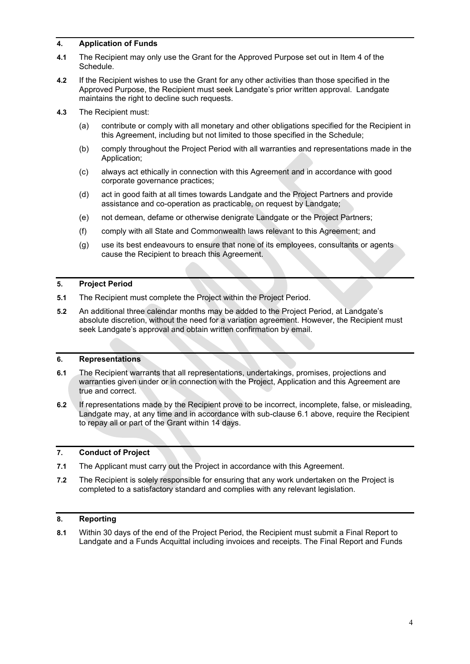# **4. Application of Funds**

- **4.1** The Recipient may only use the Grant for the Approved Purpose set out in Item 4 of the Schedule.
- **4.2** If the Recipient wishes to use the Grant for any other activities than those specified in the Approved Purpose, the Recipient must seek Landgate's prior written approval. Landgate maintains the right to decline such requests.
- **4.3** The Recipient must:
	- (a) contribute or comply with all monetary and other obligations specified for the Recipient in this Agreement, including but not limited to those specified in the Schedule;
	- (b) comply throughout the Project Period with all warranties and representations made in the Application;
	- (c) always act ethically in connection with this Agreement and in accordance with good corporate governance practices;
	- (d) act in good faith at all times towards Landgate and the Project Partners and provide assistance and co-operation as practicable, on request by Landgate;
	- (e) not demean, defame or otherwise denigrate Landgate or the Project Partners;
	- (f) comply with all State and Commonwealth laws relevant to this Agreement; and
	- (g) use its best endeavours to ensure that none of its employees, consultants or agents cause the Recipient to breach this Agreement.

# **5. Project Period**

- **5.1** The Recipient must complete the Project within the Project Period.
- **5.2** An additional three calendar months may be added to the Project Period, at Landgate's absolute discretion, without the need for a variation agreement. However, the Recipient must seek Landgate's approval and obtain written confirmation by email.

## **6. Representations**

- **6.1** The Recipient warrants that all representations, undertakings, promises, projections and warranties given under or in connection with the Project, Application and this Agreement are true and correct.
- **6.2** If representations made by the Recipient prove to be incorrect, incomplete, false, or misleading, Landgate may, at any time and in accordance with sub-clause 6.1 above, require the Recipient to repay all or part of the Grant within 14 days.

# **7. Conduct of Project**

- **7.1** The Applicant must carry out the Project in accordance with this Agreement.
- **7.2** The Recipient is solely responsible for ensuring that any work undertaken on the Project is completed to a satisfactory standard and complies with any relevant legislation.

# **8. Reporting**

**8.1** Within 30 days of the end of the Project Period, the Recipient must submit a Final Report to Landgate and a Funds Acquittal including invoices and receipts. The Final Report and Funds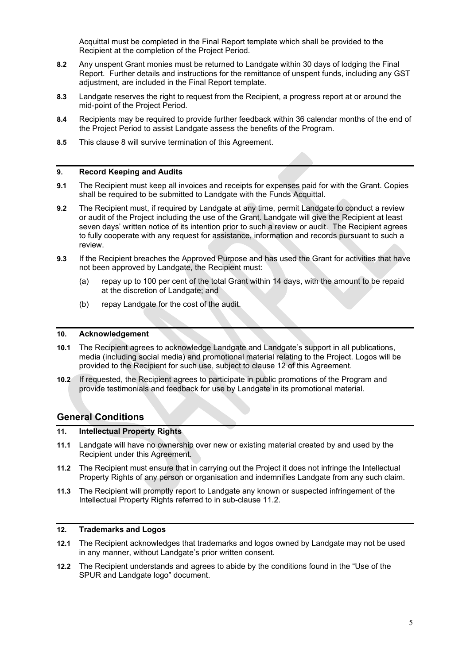Acquittal must be completed in the Final Report template which shall be provided to the Recipient at the completion of the Project Period.

- **8.2** Any unspent Grant monies must be returned to Landgate within 30 days of lodging the Final Report. Further details and instructions for the remittance of unspent funds, including any GST adjustment, are included in the Final Report template.
- **8.3** Landgate reserves the right to request from the Recipient, a progress report at or around the mid-point of the Project Period.
- **8.4** Recipients may be required to provide further feedback within 36 calendar months of the end of the Project Period to assist Landgate assess the benefits of the Program.
- **8.5** This clause 8 will survive termination of this Agreement.

#### **9. Record Keeping and Audits**

- **9.1** The Recipient must keep all invoices and receipts for expenses paid for with the Grant. Copies shall be required to be submitted to Landgate with the Funds Acquittal.
- **9.2** The Recipient must, if required by Landgate at any time, permit Landgate to conduct a review or audit of the Project including the use of the Grant. Landgate will give the Recipient at least seven days' written notice of its intention prior to such a review or audit. The Recipient agrees to fully cooperate with any request for assistance, information and records pursuant to such a review.
- **9.3** If the Recipient breaches the Approved Purpose and has used the Grant for activities that have not been approved by Landgate, the Recipient must:
	- (a) repay up to 100 per cent of the total Grant within 14 days, with the amount to be repaid at the discretion of Landgate; and
	- (b) repay Landgate for the cost of the audit.

#### **10. Acknowledgement**

- **10.1** The Recipient agrees to acknowledge Landgate and Landgate's support in all publications, media (including social media) and promotional material relating to the Project. Logos will be provided to the Recipient for such use, subject to clause 12 of this Agreement.
- **10.2** If requested, the Recipient agrees to participate in public promotions of the Program and provide testimonials and feedback for use by Landgate in its promotional material.

# **General Conditions**

## **11. Intellectual Property Rights**

- **11.1** Landgate will have no ownership over new or existing material created by and used by the Recipient under this Agreement.
- **11.2** The Recipient must ensure that in carrying out the Project it does not infringe the Intellectual Property Rights of any person or organisation and indemnifies Landgate from any such claim.
- **11.3** The Recipient will promptly report to Landgate any known or suspected infringement of the Intellectual Property Rights referred to in sub-clause 11.2.

#### **12. Trademarks and Logos**

- **12.1** The Recipient acknowledges that trademarks and logos owned by Landgate may not be used in any manner, without Landgate's prior written consent.
- **12.2** The Recipient understands and agrees to abide by the conditions found in the "Use of the SPUR and Landgate logo" document.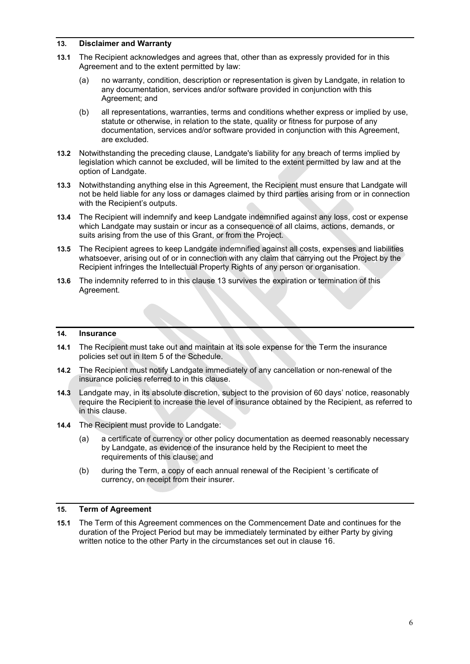# **13. Disclaimer and Warranty**

- **13.1** The Recipient acknowledges and agrees that, other than as expressly provided for in this Agreement and to the extent permitted by law:
	- (a) no warranty, condition, description or representation is given by Landgate, in relation to any documentation, services and/or software provided in conjunction with this Agreement; and
	- (b) all representations, warranties, terms and conditions whether express or implied by use, statute or otherwise, in relation to the state, quality or fitness for purpose of any documentation, services and/or software provided in conjunction with this Agreement, are excluded.
- **13.2** Notwithstanding the preceding clause, Landgate's liability for any breach of terms implied by legislation which cannot be excluded, will be limited to the extent permitted by law and at the option of Landgate.
- **13.3** Notwithstanding anything else in this Agreement, the Recipient must ensure that Landgate will not be held liable for any loss or damages claimed by third parties arising from or in connection with the Recipient's outputs.
- **13.4** The Recipient will indemnify and keep Landgate indemnified against any loss, cost or expense which Landgate may sustain or incur as a consequence of all claims, actions, demands, or suits arising from the use of this Grant, or from the Project.
- **13.5** The Recipient agrees to keep Landgate indemnified against all costs, expenses and liabilities whatsoever, arising out of or in connection with any claim that carrying out the Project by the Recipient infringes the Intellectual Property Rights of any person or organisation.
- **13.6** The indemnity referred to in this clause 13 survives the expiration or termination of this Agreement.

#### **14. Insurance**

- **14.1** The Recipient must take out and maintain at its sole expense for the Term the insurance policies set out in Item 5 of the Schedule.
- **14.2** The Recipient must notify Landgate immediately of any cancellation or non-renewal of the insurance policies referred to in this clause.
- **14.3** Landgate may, in its absolute discretion, subject to the provision of 60 days' notice, reasonably require the Recipient to increase the level of insurance obtained by the Recipient, as referred to in this clause.
- **14.4** The Recipient must provide to Landgate:
	- (a) a certificate of currency or other policy documentation as deemed reasonably necessary by Landgate, as evidence of the insurance held by the Recipient to meet the requirements of this clause; and
	- (b) during the Term, a copy of each annual renewal of the Recipient 's certificate of currency, on receipt from their insurer.

#### **15. Term of Agreement**

**15.1** The Term of this Agreement commences on the Commencement Date and continues for the duration of the Project Period but may be immediately terminated by either Party by giving written notice to the other Party in the circumstances set out in clause 16.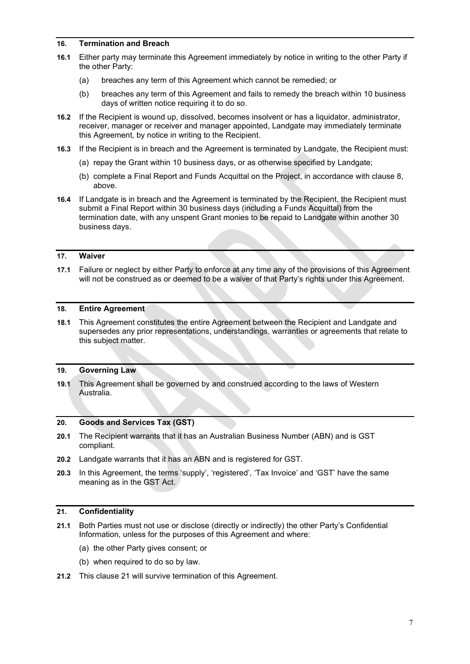## **16. Termination and Breach**

- **16.1** Either party may terminate this Agreement immediately by notice in writing to the other Party if the other Party:
	- (a) breaches any term of this Agreement which cannot be remedied; or
	- (b) breaches any term of this Agreement and fails to remedy the breach within 10 business days of written notice requiring it to do so.
- **16.2** If the Recipient is wound up, dissolved, becomes insolvent or has a liquidator, administrator, receiver, manager or receiver and manager appointed, Landgate may immediately terminate this Agreement, by notice in writing to the Recipient.
- **16.3** If the Recipient is in breach and the Agreement is terminated by Landgate, the Recipient must:
	- (a) repay the Grant within 10 business days, or as otherwise specified by Landgate;
	- (b) complete a Final Report and Funds Acquittal on the Project, in accordance with clause 8, above.
- **16.4** If Landgate is in breach and the Agreement is terminated by the Recipient, the Recipient must submit a Final Report within 30 business days (including a Funds Acquittal) from the termination date, with any unspent Grant monies to be repaid to Landgate within another 30 business days.

## **17. Waiver**

**17.1** Failure or neglect by either Party to enforce at any time any of the provisions of this Agreement will not be construed as or deemed to be a waiver of that Party's rights under this Agreement.

## **18. Entire Agreement**

**18.1** This Agreement constitutes the entire Agreement between the Recipient and Landgate and supersedes any prior representations, understandings, warranties or agreements that relate to this subject matter.

# **19. Governing Law**

**19.1** This Agreement shall be governed by and construed according to the laws of Western Australia.

#### **20. Goods and Services Tax (GST)**

- **20.1** The Recipient warrants that it has an Australian Business Number (ABN) and is GST compliant.
- **20.2** Landgate warrants that it has an ABN and is registered for GST.
- **20.3** In this Agreement, the terms 'supply', 'registered', 'Tax Invoice' and 'GST' have the same meaning as in the GST Act.

#### **21. Confidentiality**

- **21.1** Both Parties must not use or disclose (directly or indirectly) the other Party's Confidential Information, unless for the purposes of this Agreement and where:
	- (a) the other Party gives consent; or
	- (b) when required to do so by law.
- **21.2** This clause 21 will survive termination of this Agreement.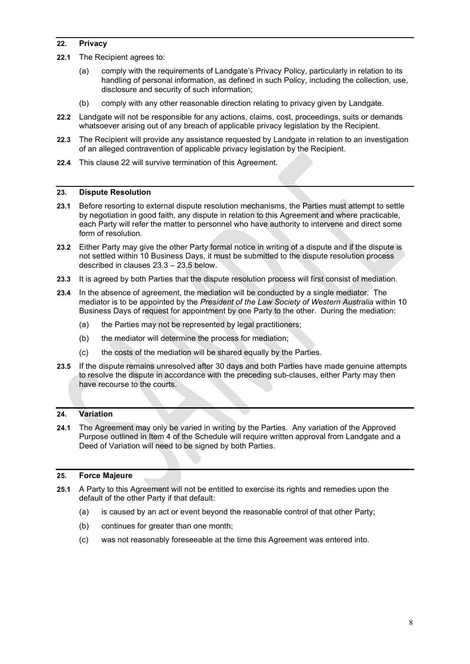# **22. Privacy**

- **22.1** The Recipient agrees to:
	- (a) comply with the requirements of Landgate's Privacy Policy, particularly in relation to its handling of personal information, as defined in such Policy, including the collection, use, disclosure and security of such information;
	- (b) comply with any other reasonable direction relating to privacy given by Landgate.
- **22.2** Landgate will not be responsible for any actions, claims, cost, proceedings, suits or demands whatsoever arising out of any breach of applicable privacy legislation by the Recipient.
- **22.3** The Recipient will provide any assistance requested by Landgate in relation to an investigation of an alleged contravention of applicable privacy legislation by the Recipient.
- **22.4** This clause 22 will survive termination of this Agreement.

## **23. Dispute Resolution**

- **23.1** Before resorting to external dispute resolution mechanisms, the Parties must attempt to settle by negotiation in good faith, any dispute in relation to this Agreement and where practicable, each Party will refer the matter to personnel who have authority to intervene and direct some form of resolution.
- **23.2** Either Party may give the other Party formal notice in writing of a dispute and if the dispute is not settled within 10 Business Days, it must be submitted to the dispute resolution process described in clauses 23.3 – 23.5 below.
- **23.3** It is agreed by both Parties that the dispute resolution process will first consist of mediation.
- **23.4** In the absence of agreement, the mediation will be conducted by a single mediator. The mediator is to be appointed by the *President of the Law Society of Western Australia* within 10 Business Days of request for appointment by one Party to the other. During the mediation:
	- (a) the Parties may not be represented by legal practitioners;
	- (b) the mediator will determine the process for mediation;
	- (c) the costs of the mediation will be shared equally by the Parties.
- **23.5** If the dispute remains unresolved after 30 days and both Parties have made genuine attempts to resolve the dispute in accordance with the preceding sub-clauses, either Party may then have recourse to the courts.

# **24. Variation**

**24.1** The Agreement may only be varied in writing by the Parties. Any variation of the Approved Purpose outlined in Item 4 of the Schedule will require written approval from Landgate and a Deed of Variation will need to be signed by both Parties.

# **25. Force Majeure**

- **25.1** A Party to this Agreement will not be entitled to exercise its rights and remedies upon the default of the other Party if that default:
	- (a) is caused by an act or event beyond the reasonable control of that other Party;
	- (b) continues for greater than one month;
	- (c) was not reasonably foreseeable at the time this Agreement was entered into.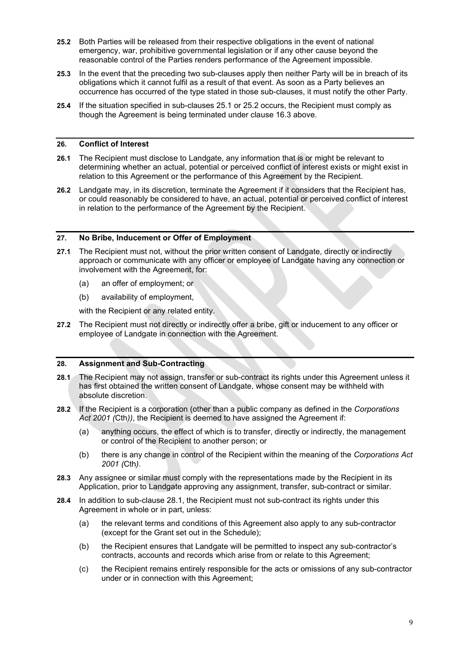- **25.2** Both Parties will be released from their respective obligations in the event of national emergency, war, prohibitive governmental legislation or if any other cause beyond the reasonable control of the Parties renders performance of the Agreement impossible.
- **25.3** In the event that the preceding two sub-clauses apply then neither Party will be in breach of its obligations which it cannot fulfil as a result of that event. As soon as a Party believes an occurrence has occurred of the type stated in those sub-clauses, it must notify the other Party.
- **25.4** If the situation specified in sub-clauses 25.1 or 25.2 occurs, the Recipient must comply as though the Agreement is being terminated under clause 16.3 above.

# **26. Conflict of Interest**

- **26.1** The Recipient must disclose to Landgate, any information that is or might be relevant to determining whether an actual, potential or perceived conflict of interest exists or might exist in relation to this Agreement or the performance of this Agreement by the Recipient.
- **26.2** Landgate may, in its discretion, terminate the Agreement if it considers that the Recipient has, or could reasonably be considered to have, an actual, potential or perceived conflict of interest in relation to the performance of the Agreement by the Recipient.

## **27. No Bribe, Inducement or Offer of Employment**

- **27.1** The Recipient must not, without the prior written consent of Landgate, directly or indirectly approach or communicate with any officer or employee of Landgate having any connection or involvement with the Agreement, for:
	- (a) an offer of employment; or
	- (b) availability of employment,

with the Recipient or any related entity.

**27.2** The Recipient must not directly or indirectly offer a bribe, gift or inducement to any officer or employee of Landgate in connection with the Agreement.

#### **28. Assignment and Sub-Contracting**

- **28.1** The Recipient may not assign, transfer or sub-contract its rights under this Agreement unless it has first obtained the written consent of Landgate, whose consent may be withheld with absolute discretion.
- **28.2** If the Recipient is a corporation (other than a public company as defined in the *Corporations Act 2001 (*Cth*))*, the Recipient is deemed to have assigned the Agreement if:
	- (a) anything occurs, the effect of which is to transfer, directly or indirectly, the management or control of the Recipient to another person; or
	- (b) there is any change in control of the Recipient within the meaning of the *Corporations Act 2001 (*Cth*)*.
- **28.3** Any assignee or similar must comply with the representations made by the Recipient in its Application, prior to Landgate approving any assignment, transfer, sub-contract or similar.
- **28.4** In addition to sub-clause 28.1, the Recipient must not sub-contract its rights under this Agreement in whole or in part, unless:
	- (a) the relevant terms and conditions of this Agreement also apply to any sub-contractor (except for the Grant set out in the Schedule);
	- (b) the Recipient ensures that Landgate will be permitted to inspect any sub-contractor's contracts, accounts and records which arise from or relate to this Agreement;
	- (c) the Recipient remains entirely responsible for the acts or omissions of any sub-contractor under or in connection with this Agreement;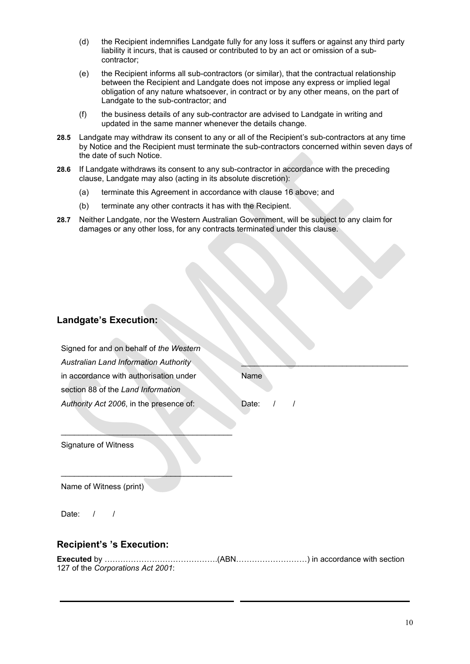- (d) the Recipient indemnifies Landgate fully for any loss it suffers or against any third party liability it incurs, that is caused or contributed to by an act or omission of a subcontractor;
- (e) the Recipient informs all sub-contractors (or similar), that the contractual relationship between the Recipient and Landgate does not impose any express or implied legal obligation of any nature whatsoever, in contract or by any other means, on the part of Landgate to the sub-contractor; and
- (f) the business details of any sub-contractor are advised to Landgate in writing and updated in the same manner whenever the details change.
- **28.5** Landgate may withdraw its consent to any or all of the Recipient's sub-contractors at any time by Notice and the Recipient must terminate the sub-contractors concerned within seven days of the date of such Notice.
- **28.6** If Landgate withdraws its consent to any sub-contractor in accordance with the preceding clause, Landgate may also (acting in its absolute discretion):
	- (a) terminate this Agreement in accordance with clause 16 above; and
	- (b) terminate any other contracts it has with the Recipient.
- **28.7** Neither Landgate, nor the Western Australian Government, will be subject to any claim for damages or any other loss, for any contracts terminated under this clause.

# **Landgate's Execution:**

| Signed for and on behalf of the Western      |             |
|----------------------------------------------|-------------|
| <b>Australian Land Information Authority</b> |             |
| in accordance with authorisation under       | Name        |
| section 88 of the Land Information           |             |
| Authority Act 2006, in the presence of:      | Date: $/$ / |

Signature of Witness

 $\overline{\phantom{a}}$  , where  $\overline{\phantom{a}}$  , where  $\overline{\phantom{a}}$  , where  $\overline{\phantom{a}}$ 

\_\_\_\_\_\_\_\_\_\_\_\_\_\_\_\_\_\_\_\_\_\_\_\_\_\_\_\_\_\_\_\_\_\_\_\_\_\_\_

Name of Witness (print)

Date:  $/$  /

# **Recipient's 's Execution:**

| Executed by ………………………………………(ABN…………………………) in accordance with section |  |
|-----------------------------------------------------------------------|--|
| 127 of the Corporations Act 2001:                                     |  |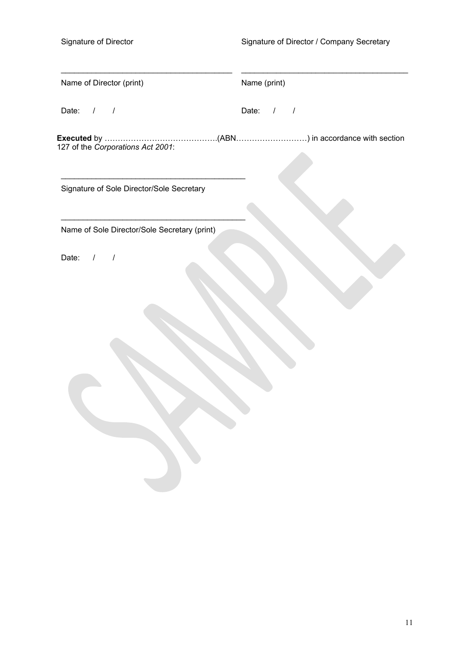| Name of Director (print)                                                                                          | Name (print) |
|-------------------------------------------------------------------------------------------------------------------|--------------|
| Date: $/$ /                                                                                                       | Date: $/$ /  |
| Executed by ………………………………………(ABN………………………) in accordance with section<br>127 of the <i>Corporations Act 2001</i> : |              |
| Signature of Sole Director/Sole Secretary                                                                         |              |
| Name of Sole Director/Sole Secretary (print)                                                                      |              |
| Date: $/$ /                                                                                                       |              |
|                                                                                                                   |              |
|                                                                                                                   |              |
|                                                                                                                   |              |
|                                                                                                                   |              |
|                                                                                                                   |              |